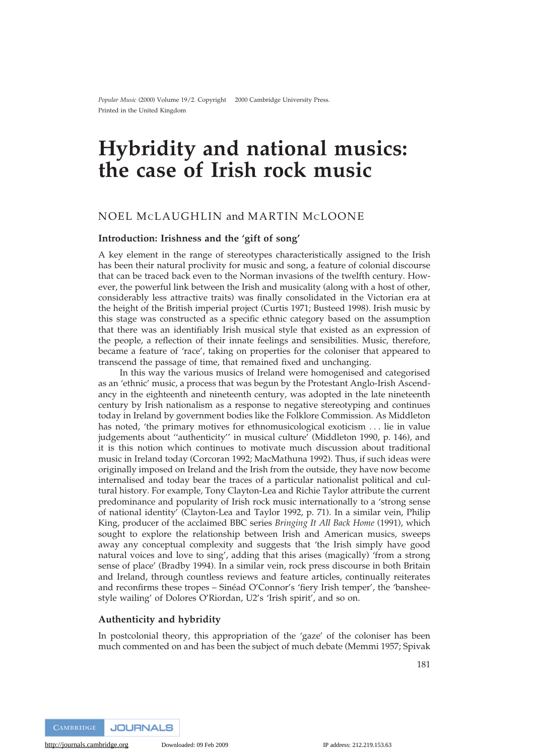*Popular Music* (2000) Volume 19/2. Copyright © 2000 Cambridge University Press Printed in the United Kingdom

# **Hybridity and national musics: the case of Irish rock music**

## NOEL MCLAUGHLIN and MARTIN MCLOONE

## **Introduction: Irishness and the 'gift of song'**

A key element in the range of stereotypes characteristically assigned to the Irish has been their natural proclivity for music and song, a feature of colonial discourse that can be traced back even to the Norman invasions of the twelfth century. However, the powerful link between the Irish and musicality (along with a host of other, considerably less attractive traits) was finally consolidated in the Victorian era at the height of the British imperial project (Curtis 1971; Busteed 1998). Irish music by this stage was constructed as a specific ethnic category based on the assumption that there was an identifiably Irish musical style that existed as an expression of the people, a reflection of their innate feelings and sensibilities. Music, therefore, became a feature of 'race', taking on properties for the coloniser that appeared to transcend the passage of time, that remained fixed and unchanging.

In this way the various musics of Ireland were homogenised and categorised as an 'ethnic' music, a process that was begun by the Protestant Anglo-Irish Ascendancy in the eighteenth and nineteenth century, was adopted in the late nineteenth century by Irish nationalism as a response to negative stereotyping and continues today in Ireland by government bodies like the Folklore Commission. As Middleton has noted, 'the primary motives for ethnomusicological exoticism . . . lie in value judgements about ''authenticity'' in musical culture' (Middleton 1990, p. 146), and it is this notion which continues to motivate much discussion about traditional music in Ireland today (Corcoran 1992; MacMathuna 1992). Thus, if such ideas were originally imposed on Ireland and the Irish from the outside, they have now become internalised and today bear the traces of a particular nationalist political and cultural history. For example, Tony Clayton-Lea and Richie Taylor attribute the current predominance and popularity of Irish rock music internationally to a 'strong sense of national identity' (Clayton-Lea and Taylor 1992, p. 71). In a similar vein, Philip King, producer of the acclaimed BBC series *Bringing It All Back Home* (1991), which sought to explore the relationship between Irish and American musics, sweeps away any conceptual complexity and suggests that 'the Irish simply have good natural voices and love to sing', adding that this arises (magically) 'from a strong sense of place' (Bradby 1994). In a similar vein, rock press discourse in both Britain and Ireland, through countless reviews and feature articles, continually reiterates and reconfirms these tropes - Sinéad O'Connor's 'fiery Irish temper', the 'bansheestyle wailing' of Dolores O'Riordan, U2's 'Irish spirit', and so on.

## **Authenticity and hybridity**

In postcolonial theory, this appropriation of the 'gaze' of the coloniser has been much commented on and has been the subject of much debate (Memmi 1957; Spivak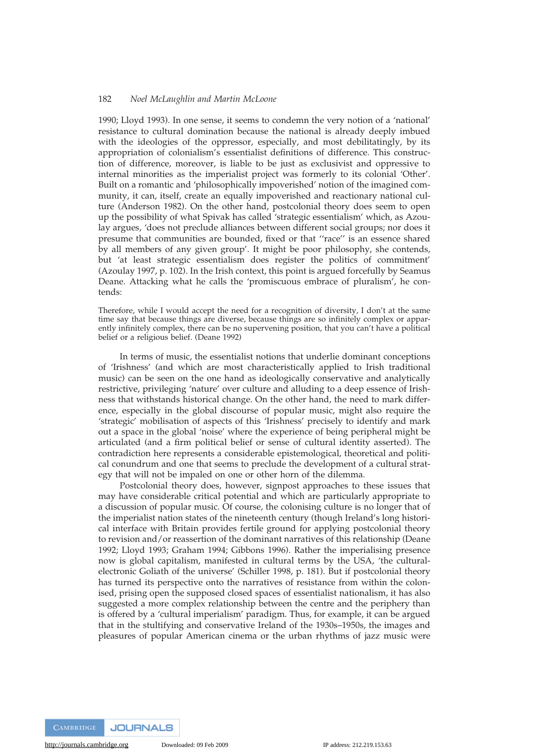1990; Lloyd 1993). In one sense, it seems to condemn the very notion of a 'national' resistance to cultural domination because the national is already deeply imbued with the ideologies of the oppressor, especially, and most debilitatingly, by its appropriation of colonialism's essentialist definitions of difference. This construction of difference, moreover, is liable to be just as exclusivist and oppressive to internal minorities as the imperialist project was formerly to its colonial 'Other'. Built on a romantic and 'philosophically impoverished' notion of the imagined community, it can, itself, create an equally impoverished and reactionary national culture (Anderson 1982). On the other hand, postcolonial theory does seem to open up the possibility of what Spivak has called 'strategic essentialism' which, as Azoulay argues, 'does not preclude alliances between different social groups; nor does it presume that communities are bounded, fixed or that ''race'' is an essence shared by all members of any given group'. It might be poor philosophy, she contends, but 'at least strategic essentialism does register the politics of commitment' (Azoulay 1997, p. 102). In the Irish context, this point is argued forcefully by Seamus Deane. Attacking what he calls the 'promiscuous embrace of pluralism', he contends:

Therefore, while I would accept the need for a recognition of diversity, I don't at the same time say that because things are diverse, because things are so infinitely complex or apparently infinitely complex, there can be no supervening position, that you can't have a political belief or a religious belief. (Deane 1992)

In terms of music, the essentialist notions that underlie dominant conceptions of 'Irishness' (and which are most characteristically applied to Irish traditional music) can be seen on the one hand as ideologically conservative and analytically restrictive, privileging 'nature' over culture and alluding to a deep essence of Irishness that withstands historical change. On the other hand, the need to mark difference, especially in the global discourse of popular music, might also require the 'strategic' mobilisation of aspects of this 'Irishness' precisely to identify and mark out a space in the global 'noise' where the experience of being peripheral might be articulated (and a firm political belief or sense of cultural identity asserted). The contradiction here represents a considerable epistemological, theoretical and political conundrum and one that seems to preclude the development of a cultural strategy that will not be impaled on one or other horn of the dilemma.

Postcolonial theory does, however, signpost approaches to these issues that may have considerable critical potential and which are particularly appropriate to a discussion of popular music. Of course, the colonising culture is no longer that of the imperialist nation states of the nineteenth century (though Ireland's long historical interface with Britain provides fertile ground for applying postcolonial theory to revision and/or reassertion of the dominant narratives of this relationship (Deane 1992; Lloyd 1993; Graham 1994; Gibbons 1996). Rather the imperialising presence now is global capitalism, manifested in cultural terms by the USA, 'the culturalelectronic Goliath of the universe' (Schiller 1998, p. 181). But if postcolonial theory has turned its perspective onto the narratives of resistance from within the colonised, prising open the supposed closed spaces of essentialist nationalism, it has also suggested a more complex relationship between the centre and the periphery than is offered by a 'cultural imperialism' paradigm. Thus, for example, it can be argued that in the stultifying and conservative Ireland of the 1930s–1950s, the images and pleasures of popular American cinema or the urban rhythms of jazz music were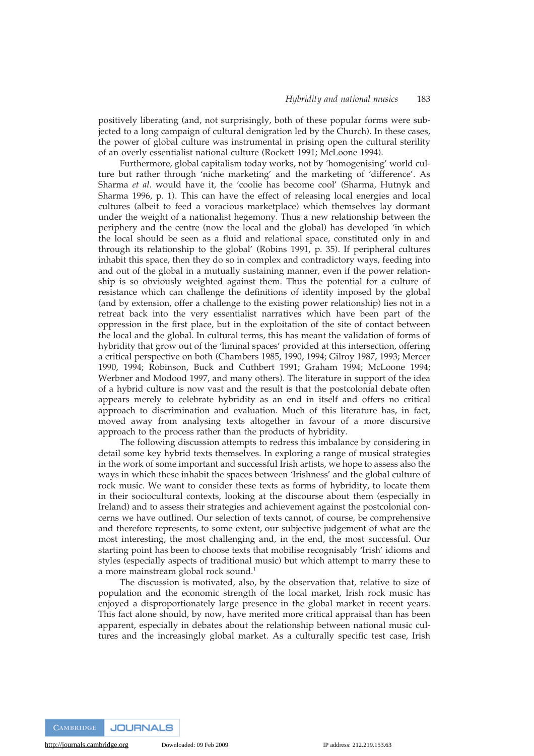positively liberating (and, not surprisingly, both of these popular forms were subjected to a long campaign of cultural denigration led by the Church). In these cases, the power of global culture was instrumental in prising open the cultural sterility of an overly essentialist national culture (Rockett 1991; McLoone 1994).

Furthermore, global capitalism today works, not by 'homogenising' world culture but rather through 'niche marketing' and the marketing of 'difference'. As Sharma *et al.* would have it, the 'coolie has become cool' (Sharma, Hutnyk and Sharma 1996, p. 1). This can have the effect of releasing local energies and local cultures (albeit to feed a voracious marketplace) which themselves lay dormant under the weight of a nationalist hegemony. Thus a new relationship between the periphery and the centre (now the local and the global) has developed 'in which the local should be seen as a fluid and relational space, constituted only in and through its relationship to the global' (Robins 1991, p. 35). If peripheral cultures inhabit this space, then they do so in complex and contradictory ways, feeding into and out of the global in a mutually sustaining manner, even if the power relationship is so obviously weighted against them. Thus the potential for a culture of resistance which can challenge the definitions of identity imposed by the global (and by extension, offer a challenge to the existing power relationship) lies not in a retreat back into the very essentialist narratives which have been part of the oppression in the first place, but in the exploitation of the site of contact between the local and the global. In cultural terms, this has meant the validation of forms of hybridity that grow out of the 'liminal spaces' provided at this intersection, offering a critical perspective on both (Chambers 1985, 1990, 1994; Gilroy 1987, 1993; Mercer 1990, 1994; Robinson, Buck and Cuthbert 1991; Graham 1994; McLoone 1994; Werbner and Modood 1997, and many others). The literature in support of the idea of a hybrid culture is now vast and the result is that the postcolonial debate often appears merely to celebrate hybridity as an end in itself and offers no critical approach to discrimination and evaluation. Much of this literature has, in fact, moved away from analysing texts altogether in favour of a more discursive approach to the process rather than the products of hybridity.

The following discussion attempts to redress this imbalance by considering in detail some key hybrid texts themselves. In exploring a range of musical strategies in the work of some important and successful Irish artists, we hope to assess also the ways in which these inhabit the spaces between 'Irishness' and the global culture of rock music. We want to consider these texts as forms of hybridity, to locate them in their sociocultural contexts, looking at the discourse about them (especially in Ireland) and to assess their strategies and achievement against the postcolonial concerns we have outlined. Our selection of texts cannot, of course, be comprehensive and therefore represents, to some extent, our subjective judgement of what are the most interesting, the most challenging and, in the end, the most successful. Our starting point has been to choose texts that mobilise recognisably 'Irish' idioms and styles (especially aspects of traditional music) but which attempt to marry these to a more mainstream global rock sound.<sup>1</sup>

The discussion is motivated, also, by the observation that, relative to size of population and the economic strength of the local market, Irish rock music has enjoyed a disproportionately large presence in the global market in recent years. This fact alone should, by now, have merited more critical appraisal than has been apparent, especially in debates about the relationship between national music cultures and the increasingly global market. As a culturally specific test case, Irish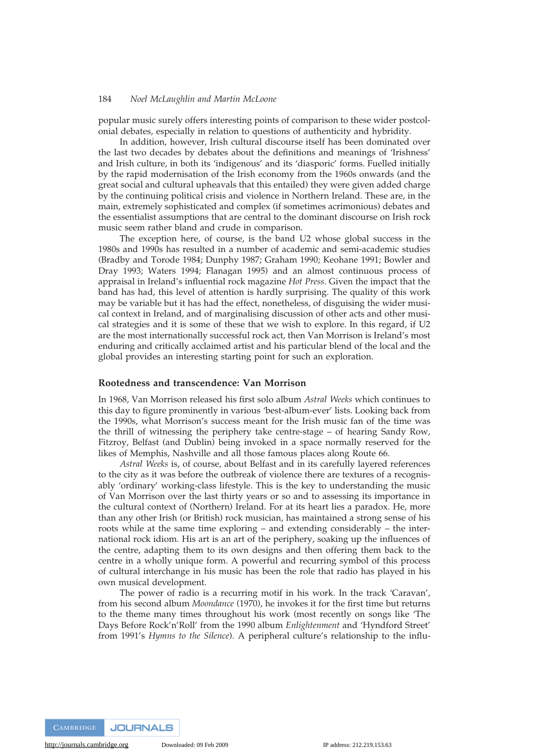popular music surely offers interesting points of comparison to these wider postcolonial debates, especially in relation to questions of authenticity and hybridity.

In addition, however, Irish cultural discourse itself has been dominated over the last two decades by debates about the definitions and meanings of 'Irishness' and Irish culture, in both its 'indigenous' and its 'diasporic' forms. Fuelled initially by the rapid modernisation of the Irish economy from the 1960s onwards (and the great social and cultural upheavals that this entailed) they were given added charge by the continuing political crisis and violence in Northern Ireland. These are, in the main, extremely sophisticated and complex (if sometimes acrimonious) debates and the essentialist assumptions that are central to the dominant discourse on Irish rock music seem rather bland and crude in comparison.

The exception here, of course, is the band U2 whose global success in the 1980s and 1990s has resulted in a number of academic and semi-academic studies (Bradby and Torode 1984; Dunphy 1987; Graham 1990; Keohane 1991; Bowler and Dray 1993; Waters 1994; Flanagan 1995) and an almost continuous process of appraisal in Ireland's influential rock magazine *Hot Press*. Given the impact that the band has had, this level of attention is hardly surprising. The quality of this work may be variable but it has had the effect, nonetheless, of disguising the wider musical context in Ireland, and of marginalising discussion of other acts and other musical strategies and it is some of these that we wish to explore. In this regard, if U2 are the most internationally successful rock act, then Van Morrison is Ireland's most enduring and critically acclaimed artist and his particular blend of the local and the global provides an interesting starting point for such an exploration.

## **Rootedness and transcendence: Van Morrison**

In 1968, Van Morrison released his first solo album *Astral Weeks* which continues to this day to figure prominently in various 'best-album-ever' lists. Looking back from the 1990s, what Morrison's success meant for the Irish music fan of the time was the thrill of witnessing the periphery take centre-stage – of hearing Sandy Row, Fitzroy, Belfast (and Dublin) being invoked in a space normally reserved for the likes of Memphis, Nashville and all those famous places along Route 66.

*Astral Weeks* is, of course, about Belfast and in its carefully layered references to the city as it was before the outbreak of violence there are textures of a recognisably 'ordinary' working-class lifestyle. This is the key to understanding the music of Van Morrison over the last thirty years or so and to assessing its importance in the cultural context of (Northern) Ireland. For at its heart lies a paradox. He, more than any other Irish (or British) rock musician, has maintained a strong sense of his roots while at the same time exploring – and extending considerably – the international rock idiom. His art is an art of the periphery, soaking up the influences of the centre, adapting them to its own designs and then offering them back to the centre in a wholly unique form. A powerful and recurring symbol of this process of cultural interchange in his music has been the role that radio has played in his own musical development.

The power of radio is a recurring motif in his work. In the track 'Caravan', from his second album *Moondance* (1970), he invokes it for the first time but returns to the theme many times throughout his work (most recently on songs like 'The Days Before Rock'n'Roll' from the 1990 album *Enlightenment* and 'Hyndford Street' from 1991's *Hymns to the Silence*). A peripheral culture's relationship to the influ-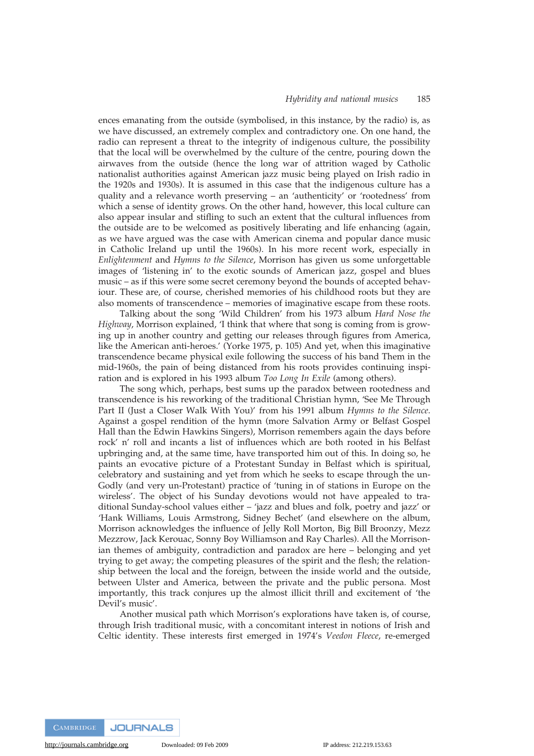#### *Hybridity and national musics* 185

ences emanating from the outside (symbolised, in this instance, by the radio) is, as we have discussed, an extremely complex and contradictory one. On one hand, the radio can represent a threat to the integrity of indigenous culture, the possibility that the local will be overwhelmed by the culture of the centre, pouring down the airwaves from the outside (hence the long war of attrition waged by Catholic nationalist authorities against American jazz music being played on Irish radio in the 1920s and 1930s). It is assumed in this case that the indigenous culture has a quality and a relevance worth preserving – an 'authenticity' or 'rootedness' from which a sense of identity grows. On the other hand, however, this local culture can also appear insular and stifling to such an extent that the cultural influences from the outside are to be welcomed as positively liberating and life enhancing (again, as we have argued was the case with American cinema and popular dance music in Catholic Ireland up until the 1960s). In his more recent work, especially in *Enlightenment* and *Hymns to the Silence*, Morrison has given us some unforgettable images of 'listening in' to the exotic sounds of American jazz, gospel and blues music – as if this were some secret ceremony beyond the bounds of accepted behaviour. These are, of course, cherished memories of his childhood roots but they are also moments of transcendence – memories of imaginative escape from these roots.

Talking about the song 'Wild Children' from his 1973 album *Hard Nose the Highway*, Morrison explained, 'I think that where that song is coming from is growing up in another country and getting our releases through figures from America, like the American anti-heroes.' (Yorke 1975, p. 105) And yet, when this imaginative transcendence became physical exile following the success of his band Them in the mid-1960s, the pain of being distanced from his roots provides continuing inspiration and is explored in his 1993 album *Too Long In Exile* (among others).

The song which, perhaps, best sums up the paradox between rootedness and transcendence is his reworking of the traditional Christian hymn, 'See Me Through Part II (Just a Closer Walk With You)' from his 1991 album *Hymns to the Silence*. Against a gospel rendition of the hymn (more Salvation Army or Belfast Gospel Hall than the Edwin Hawkins Singers), Morrison remembers again the days before rock' n' roll and incants a list of influences which are both rooted in his Belfast upbringing and, at the same time, have transported him out of this. In doing so, he paints an evocative picture of a Protestant Sunday in Belfast which is spiritual, celebratory and sustaining and yet from which he seeks to escape through the un-Godly (and very un-Protestant) practice of 'tuning in of stations in Europe on the wireless'. The object of his Sunday devotions would not have appealed to traditional Sunday-school values either – 'jazz and blues and folk, poetry and jazz' or 'Hank Williams, Louis Armstrong, Sidney Bechet' (and elsewhere on the album, Morrison acknowledges the influence of Jelly Roll Morton, Big Bill Broonzy, Mezz Mezzrow, Jack Kerouac, Sonny Boy Williamson and Ray Charles). All the Morrisonian themes of ambiguity, contradiction and paradox are here – belonging and yet trying to get away; the competing pleasures of the spirit and the flesh; the relationship between the local and the foreign, between the inside world and the outside, between Ulster and America, between the private and the public persona. Most importantly, this track conjures up the almost illicit thrill and excitement of 'the Devil's music'.

Another musical path which Morrison's explorations have taken is, of course, through Irish traditional music, with a concomitant interest in notions of Irish and Celtic identity. These interests first emerged in 1974's *Veedon Fleece*, re-emerged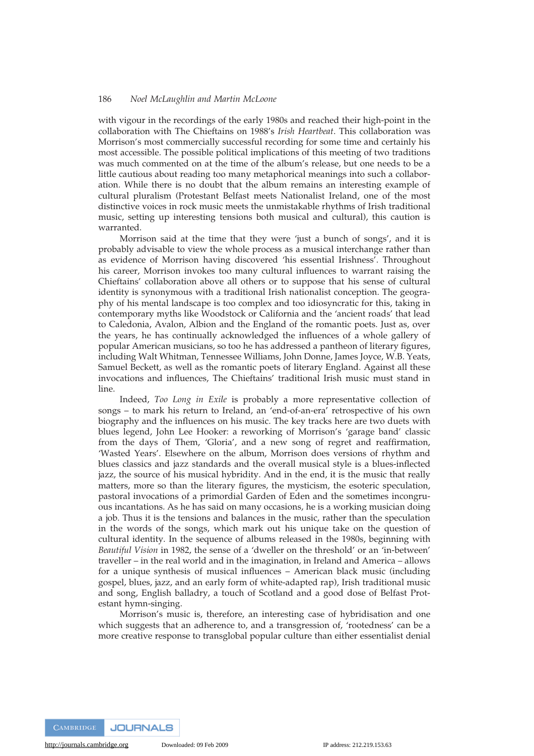with vigour in the recordings of the early 1980s and reached their high-point in the collaboration with The Chieftains on 1988's *Irish Heartbeat*. This collaboration was Morrison's most commercially successful recording for some time and certainly his most accessible. The possible political implications of this meeting of two traditions was much commented on at the time of the album's release, but one needs to be a little cautious about reading too many metaphorical meanings into such a collaboration. While there is no doubt that the album remains an interesting example of cultural pluralism (Protestant Belfast meets Nationalist Ireland, one of the most distinctive voices in rock music meets the unmistakable rhythms of Irish traditional music, setting up interesting tensions both musical and cultural), this caution is warranted.

Morrison said at the time that they were 'just a bunch of songs', and it is probably advisable to view the whole process as a musical interchange rather than as evidence of Morrison having discovered 'his essential Irishness'. Throughout his career, Morrison invokes too many cultural influences to warrant raising the Chieftains' collaboration above all others or to suppose that his sense of cultural identity is synonymous with a traditional Irish nationalist conception. The geography of his mental landscape is too complex and too idiosyncratic for this, taking in contemporary myths like Woodstock or California and the 'ancient roads' that lead to Caledonia, Avalon, Albion and the England of the romantic poets. Just as, over the years, he has continually acknowledged the influences of a whole gallery of popular American musicians, so too he has addressed a pantheon of literary figures, including Walt Whitman, Tennessee Williams, John Donne, James Joyce, W.B. Yeats, Samuel Beckett, as well as the romantic poets of literary England. Against all these invocations and influences, The Chieftains' traditional Irish music must stand in line.

Indeed, *Too Long in Exile* is probably a more representative collection of songs – to mark his return to Ireland, an 'end-of-an-era' retrospective of his own biography and the influences on his music. The key tracks here are two duets with blues legend, John Lee Hooker: a reworking of Morrison's 'garage band' classic from the days of Them, 'Gloria', and a new song of regret and reaffirmation, 'Wasted Years'. Elsewhere on the album, Morrison does versions of rhythm and blues classics and jazz standards and the overall musical style is a blues-inflected jazz, the source of his musical hybridity. And in the end, it is the music that really matters, more so than the literary figures, the mysticism, the esoteric speculation, pastoral invocations of a primordial Garden of Eden and the sometimes incongruous incantations. As he has said on many occasions, he is a working musician doing a job. Thus it is the tensions and balances in the music, rather than the speculation in the words of the songs, which mark out his unique take on the question of cultural identity. In the sequence of albums released in the 1980s, beginning with *Beautiful Vision* in 1982, the sense of a 'dweller on the threshold' or an 'in-between' traveller – in the real world and in the imagination, in Ireland and America – allows for a unique synthesis of musical influences – American black music (including gospel, blues, jazz, and an early form of white-adapted rap), Irish traditional music and song, English balladry, a touch of Scotland and a good dose of Belfast Protestant hymn-singing.

Morrison's music is, therefore, an interesting case of hybridisation and one which suggests that an adherence to, and a transgression of, 'rootedness' can be a more creative response to transglobal popular culture than either essentialist denial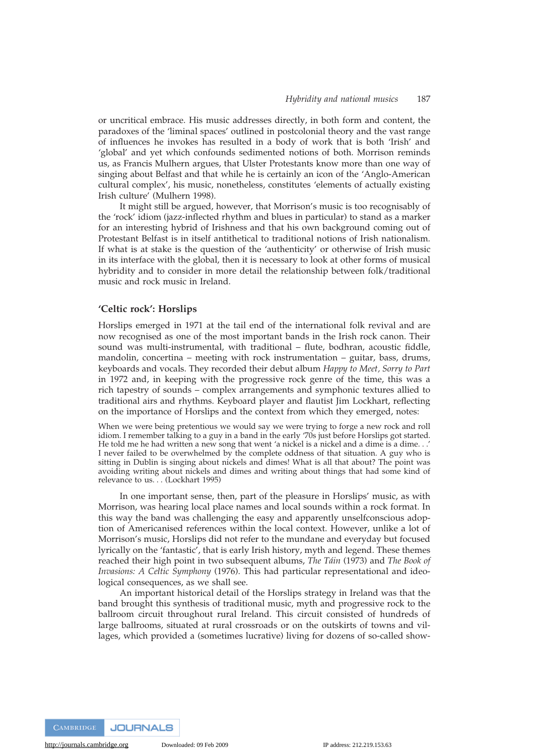or uncritical embrace. His music addresses directly, in both form and content, the paradoxes of the 'liminal spaces' outlined in postcolonial theory and the vast range of influences he invokes has resulted in a body of work that is both 'Irish' and 'global' and yet which confounds sedimented notions of both. Morrison reminds us, as Francis Mulhern argues, that Ulster Protestants know more than one way of singing about Belfast and that while he is certainly an icon of the 'Anglo-American cultural complex', his music, nonetheless, constitutes 'elements of actually existing Irish culture' (Mulhern 1998).

It might still be argued, however, that Morrison's music is too recognisably of the 'rock' idiom (jazz-inflected rhythm and blues in particular) to stand as a marker for an interesting hybrid of Irishness and that his own background coming out of Protestant Belfast is in itself antithetical to traditional notions of Irish nationalism. If what is at stake is the question of the 'authenticity' or otherwise of Irish music in its interface with the global, then it is necessary to look at other forms of musical hybridity and to consider in more detail the relationship between folk/traditional music and rock music in Ireland.

## **'Celtic rock': Horslips**

Horslips emerged in 1971 at the tail end of the international folk revival and are now recognised as one of the most important bands in the Irish rock canon. Their sound was multi-instrumental, with traditional – flute, bodhran, acoustic fiddle, mandolin, concertina – meeting with rock instrumentation – guitar, bass, drums, keyboards and vocals. They recorded their debut album *Happy to Meet, Sorry to Part* in 1972 and, in keeping with the progressive rock genre of the time, this was a rich tapestry of sounds – complex arrangements and symphonic textures allied to traditional airs and rhythms. Keyboard player and flautist Jim Lockhart, reflecting on the importance of Horslips and the context from which they emerged, notes:

When we were being pretentious we would say we were trying to forge a new rock and roll idiom. I remember talking to a guy in a band in the early '70s just before Horslips got started. He told me he had written a new song that went 'a nickel is a nickel and a dime is a dime. . .' I never failed to be overwhelmed by the complete oddness of that situation. A guy who is sitting in Dublin is singing about nickels and dimes! What is all that about? The point was avoiding writing about nickels and dimes and writing about things that had some kind of relevance to us. . . (Lockhart 1995)

In one important sense, then, part of the pleasure in Horslips' music, as with Morrison, was hearing local place names and local sounds within a rock format. In this way the band was challenging the easy and apparently unselfconscious adoption of Americanised references within the local context. However, unlike a lot of Morrison's music, Horslips did not refer to the mundane and everyday but focused lyrically on the 'fantastic', that is early Irish history, myth and legend. These themes reached their high point in two subsequent albums, *The Ta´in* (1973) and *The Book of Invasions: A Celtic Symphony* (1976). This had particular representational and ideological consequences, as we shall see.

An important historical detail of the Horslips strategy in Ireland was that the band brought this synthesis of traditional music, myth and progressive rock to the ballroom circuit throughout rural Ireland. This circuit consisted of hundreds of large ballrooms, situated at rural crossroads or on the outskirts of towns and villages, which provided a (sometimes lucrative) living for dozens of so-called show-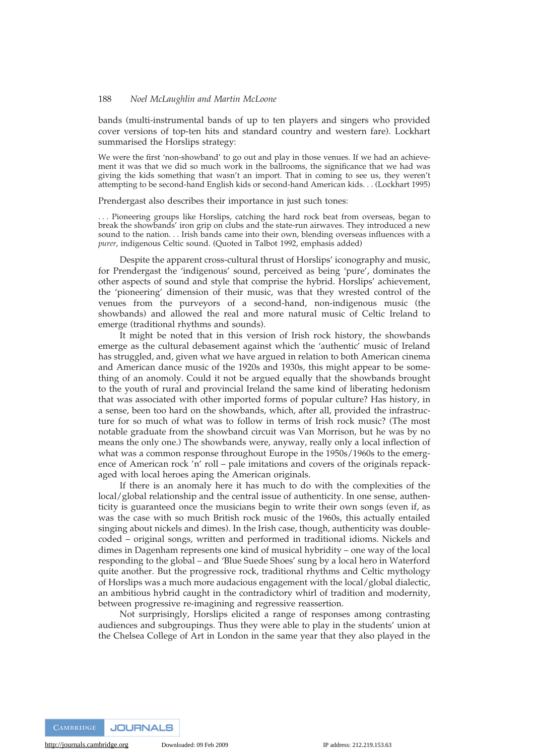bands (multi-instrumental bands of up to ten players and singers who provided cover versions of top-ten hits and standard country and western fare). Lockhart summarised the Horslips strategy:

We were the first 'non-showband' to go out and play in those venues. If we had an achievement it was that we did so much work in the ballrooms, the significance that we had was giving the kids something that wasn't an import. That in coming to see us, they weren't attempting to be second-hand English kids or second-hand American kids. . . (Lockhart 1995)

Prendergast also describes their importance in just such tones:

. . . Pioneering groups like Horslips, catching the hard rock beat from overseas, began to break the showbands' iron grip on clubs and the state-run airwaves. They introduced a new sound to the nation. . . Irish bands came into their own, blending overseas influences with a *purer*, indigenous Celtic sound. (Quoted in Talbot 1992, emphasis added)

Despite the apparent cross-cultural thrust of Horslips' iconography and music, for Prendergast the 'indigenous' sound, perceived as being 'pure', dominates the other aspects of sound and style that comprise the hybrid. Horslips' achievement, the 'pioneering' dimension of their music, was that they wrested control of the venues from the purveyors of a second-hand, non-indigenous music (the showbands) and allowed the real and more natural music of Celtic Ireland to emerge (traditional rhythms and sounds).

It might be noted that in this version of Irish rock history, the showbands emerge as the cultural debasement against which the 'authentic' music of Ireland has struggled, and, given what we have argued in relation to both American cinema and American dance music of the 1920s and 1930s, this might appear to be something of an anomoly. Could it not be argued equally that the showbands brought to the youth of rural and provincial Ireland the same kind of liberating hedonism that was associated with other imported forms of popular culture? Has history, in a sense, been too hard on the showbands, which, after all, provided the infrastructure for so much of what was to follow in terms of Irish rock music? (The most notable graduate from the showband circuit was Van Morrison, but he was by no means the only one.) The showbands were, anyway, really only a local inflection of what was a common response throughout Europe in the 1950s/1960s to the emergence of American rock 'n' roll – pale imitations and covers of the originals repackaged with local heroes aping the American originals.

If there is an anomaly here it has much to do with the complexities of the local/global relationship and the central issue of authenticity. In one sense, authenticity is guaranteed once the musicians begin to write their own songs (even if, as was the case with so much British rock music of the 1960s, this actually entailed singing about nickels and dimes). In the Irish case, though, authenticity was doublecoded – original songs, written and performed in traditional idioms. Nickels and dimes in Dagenham represents one kind of musical hybridity – one way of the local responding to the global – and 'Blue Suede Shoes' sung by a local hero in Waterford quite another. But the progressive rock, traditional rhythms and Celtic mythology of Horslips was a much more audacious engagement with the local/global dialectic, an ambitious hybrid caught in the contradictory whirl of tradition and modernity, between progressive re-imagining and regressive reassertion.

Not surprisingly, Horslips elicited a range of responses among contrasting audiences and subgroupings. Thus they were able to play in the students' union at the Chelsea College of Art in London in the same year that they also played in the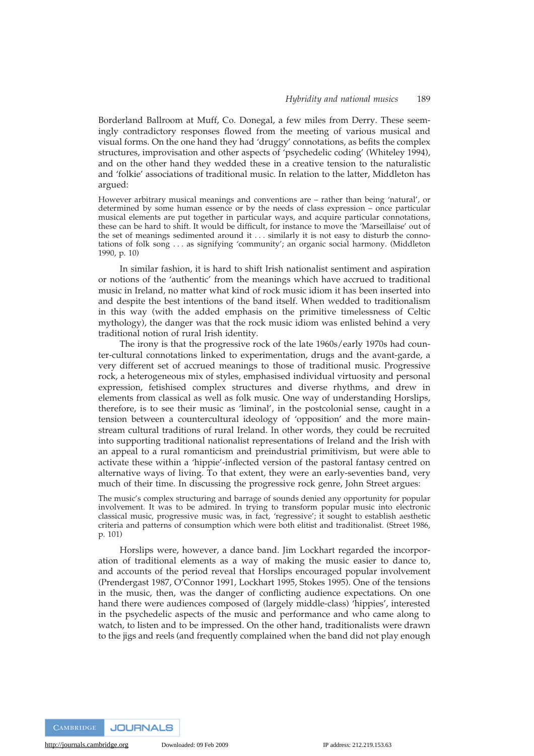Borderland Ballroom at Muff, Co. Donegal, a few miles from Derry. These seemingly contradictory responses flowed from the meeting of various musical and visual forms. On the one hand they had 'druggy' connotations, as befits the complex structures, improvisation and other aspects of 'psychedelic coding' (Whiteley 1994), and on the other hand they wedded these in a creative tension to the naturalistic and 'folkie' associations of traditional music. In relation to the latter, Middleton has argued:

However arbitrary musical meanings and conventions are – rather than being 'natural', or determined by some human essence or by the needs of class expression – once particular musical elements are put together in particular ways, and acquire particular connotations, these can be hard to shift. It would be difficult, for instance to move the 'Marseillaise' out of the set of meanings sedimented around it . . . similarly it is not easy to disturb the connotations of folk song . . . as signifying 'community'; an organic social harmony. (Middleton 1990, p. 10)

In similar fashion, it is hard to shift Irish nationalist sentiment and aspiration or notions of the 'authentic' from the meanings which have accrued to traditional music in Ireland, no matter what kind of rock music idiom it has been inserted into and despite the best intentions of the band itself. When wedded to traditionalism in this way (with the added emphasis on the primitive timelessness of Celtic mythology), the danger was that the rock music idiom was enlisted behind a very traditional notion of rural Irish identity.

The irony is that the progressive rock of the late 1960s/early 1970s had counter-cultural connotations linked to experimentation, drugs and the avant-garde, a very different set of accrued meanings to those of traditional music. Progressive rock, a heterogeneous mix of styles, emphasised individual virtuosity and personal expression, fetishised complex structures and diverse rhythms, and drew in elements from classical as well as folk music. One way of understanding Horslips, therefore, is to see their music as 'liminal', in the postcolonial sense, caught in a tension between a countercultural ideology of 'opposition' and the more mainstream cultural traditions of rural Ireland. In other words, they could be recruited into supporting traditional nationalist representations of Ireland and the Irish with an appeal to a rural romanticism and preindustrial primitivism, but were able to activate these within a 'hippie'-inflected version of the pastoral fantasy centred on alternative ways of living. To that extent, they were an early-seventies band, very much of their time. In discussing the progressive rock genre, John Street argues:

The music's complex structuring and barrage of sounds denied any opportunity for popular involvement. It was to be admired. In trying to transform popular music into electronic classical music, progressive music was, in fact, 'regressive'; it sought to establish aesthetic criteria and patterns of consumption which were both elitist and traditionalist. (Street 1986, p. 101)

Horslips were, however, a dance band. Jim Lockhart regarded the incorporation of traditional elements as a way of making the music easier to dance to, and accounts of the period reveal that Horslips encouraged popular involvement (Prendergast 1987, O'Connor 1991, Lockhart 1995, Stokes 1995). One of the tensions in the music, then, was the danger of conflicting audience expectations. On one hand there were audiences composed of (largely middle-class) 'hippies', interested in the psychedelic aspects of the music and performance and who came along to watch, to listen and to be impressed. On the other hand, traditionalists were drawn to the jigs and reels (and frequently complained when the band did not play enough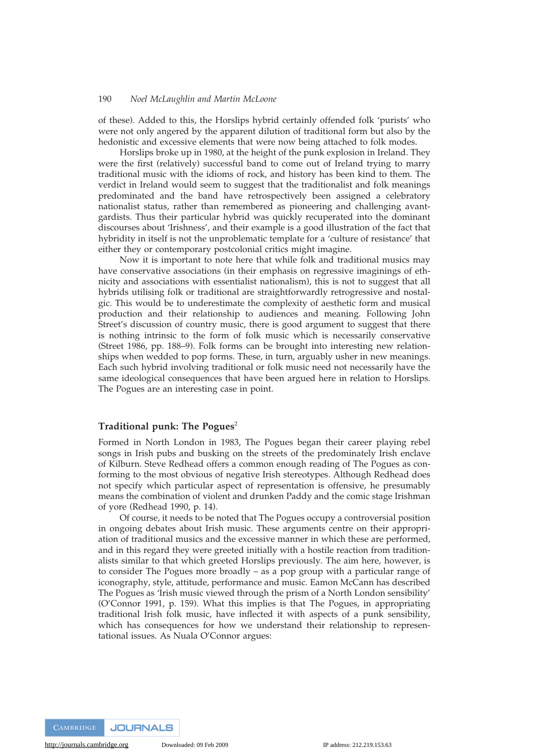of these). Added to this, the Horslips hybrid certainly offended folk 'purists' who were not only angered by the apparent dilution of traditional form but also by the hedonistic and excessive elements that were now being attached to folk modes.

Horslips broke up in 1980, at the height of the punk explosion in Ireland. They were the first (relatively) successful band to come out of Ireland trying to marry traditional music with the idioms of rock, and history has been kind to them. The verdict in Ireland would seem to suggest that the traditionalist and folk meanings predominated and the band have retrospectively been assigned a celebratory nationalist status, rather than remembered as pioneering and challenging avantgardists. Thus their particular hybrid was quickly recuperated into the dominant discourses about 'Irishness', and their example is a good illustration of the fact that hybridity in itself is not the unproblematic template for a 'culture of resistance' that either they or contemporary postcolonial critics might imagine.

Now it is important to note here that while folk and traditional musics may have conservative associations (in their emphasis on regressive imaginings of ethnicity and associations with essentialist nationalism), this is not to suggest that all hybrids utilising folk or traditional are straightforwardly retrogressive and nostalgic. This would be to underestimate the complexity of aesthetic form and musical production and their relationship to audiences and meaning. Following John Street's discussion of country music, there is good argument to suggest that there is nothing intrinsic to the form of folk music which is necessarily conservative (Street 1986, pp. 188–9). Folk forms can be brought into interesting new relationships when wedded to pop forms. These, in turn, arguably usher in new meanings. Each such hybrid involving traditional or folk music need not necessarily have the same ideological consequences that have been argued here in relation to Horslips. The Pogues are an interesting case in point.

## **Traditional punk: The Pogues<sup>2</sup>**

Formed in North London in 1983, The Pogues began their career playing rebel songs in Irish pubs and busking on the streets of the predominately Irish enclave of Kilburn. Steve Redhead offers a common enough reading of The Pogues as conforming to the most obvious of negative Irish stereotypes. Although Redhead does not specify which particular aspect of representation is offensive, he presumably means the combination of violent and drunken Paddy and the comic stage Irishman of yore (Redhead 1990, p. 14).

Of course, it needs to be noted that The Pogues occupy a controversial position in ongoing debates about Irish music. These arguments centre on their appropriation of traditional musics and the excessive manner in which these are performed, and in this regard they were greeted initially with a hostile reaction from traditionalists similar to that which greeted Horslips previously. The aim here, however, is to consider The Pogues more broadly – as a pop group with a particular range of iconography, style, attitude, performance and music. Eamon McCann has described The Pogues as 'Irish music viewed through the prism of a North London sensibility' (O'Connor 1991, p. 159). What this implies is that The Pogues, in appropriating traditional Irish folk music, have inflected it with aspects of a punk sensibility, which has consequences for how we understand their relationship to representational issues. As Nuala O'Connor argues: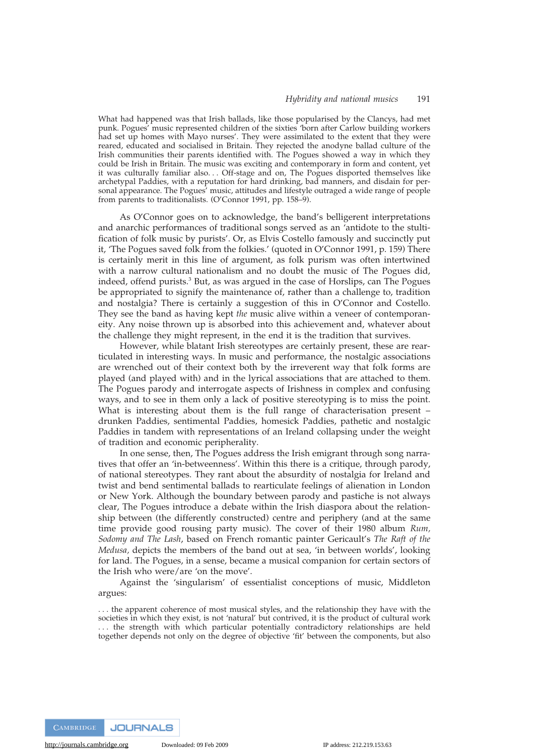What had happened was that Irish ballads, like those popularised by the Clancys, had met punk. Pogues' music represented children of the sixties 'born after Carlow building workers had set up homes with Mayo nurses'. They were assimilated to the extent that they were reared, educated and socialised in Britain. They rejected the anodyne ballad culture of the Irish communities their parents identified with. The Pogues showed a way in which they could be Irish in Britain. The music was exciting and contemporary in form and content, yet it was culturally familiar also. . . Off-stage and on, The Pogues disported themselves like archetypal Paddies, with a reputation for hard drinking, bad manners, and disdain for personal appearance. The Pogues' music, attitudes and lifestyle outraged a wide range of people from parents to traditionalists. (O'Connor 1991, pp. 158–9).

As O'Connor goes on to acknowledge, the band's belligerent interpretations and anarchic performances of traditional songs served as an 'antidote to the stultification of folk music by purists'. Or, as Elvis Costello famously and succinctly put it, 'The Pogues saved folk from the folkies.' (quoted in O'Connor 1991, p. 159) There is certainly merit in this line of argument, as folk purism was often intertwined with a narrow cultural nationalism and no doubt the music of The Pogues did, indeed, offend purists.<sup>3</sup> But, as was argued in the case of Horslips, can The Pogues be appropriated to signify the maintenance of, rather than a challenge to, tradition and nostalgia? There is certainly a suggestion of this in O'Connor and Costello. They see the band as having kept *the* music alive within a veneer of contemporaneity. Any noise thrown up is absorbed into this achievement and, whatever about the challenge they might represent, in the end it is the tradition that survives.

However, while blatant Irish stereotypes are certainly present, these are rearticulated in interesting ways. In music and performance, the nostalgic associations are wrenched out of their context both by the irreverent way that folk forms are played (and played with) and in the lyrical associations that are attached to them. The Pogues parody and interrogate aspects of Irishness in complex and confusing ways, and to see in them only a lack of positive stereotyping is to miss the point. What is interesting about them is the full range of characterisation present – drunken Paddies, sentimental Paddies, homesick Paddies, pathetic and nostalgic Paddies in tandem with representations of an Ireland collapsing under the weight of tradition and economic peripherality.

In one sense, then, The Pogues address the Irish emigrant through song narratives that offer an 'in-betweenness'. Within this there is a critique, through parody, of national stereotypes. They rant about the absurdity of nostalgia for Ireland and twist and bend sentimental ballads to rearticulate feelings of alienation in London or New York. Although the boundary between parody and pastiche is not always clear, The Pogues introduce a debate within the Irish diaspora about the relationship between (the differently constructed) centre and periphery (and at the same time provide good rousing party music). The cover of their 1980 album *Rum, Sodomy and The Lash*, based on French romantic painter Gericault's *The Raft of the Medusa,* depicts the members of the band out at sea, 'in between worlds', looking for land. The Pogues, in a sense, became a musical companion for certain sectors of the Irish who were/are 'on the move'.

Against the 'singularism' of essentialist conceptions of music, Middleton argues:

. . . the apparent coherence of most musical styles, and the relationship they have with the societies in which they exist, is not 'natural' but contrived, it is the product of cultural work ... the strength with which particular potentially contradictory relationships are held together depends not only on the degree of objective 'fit' between the components, but also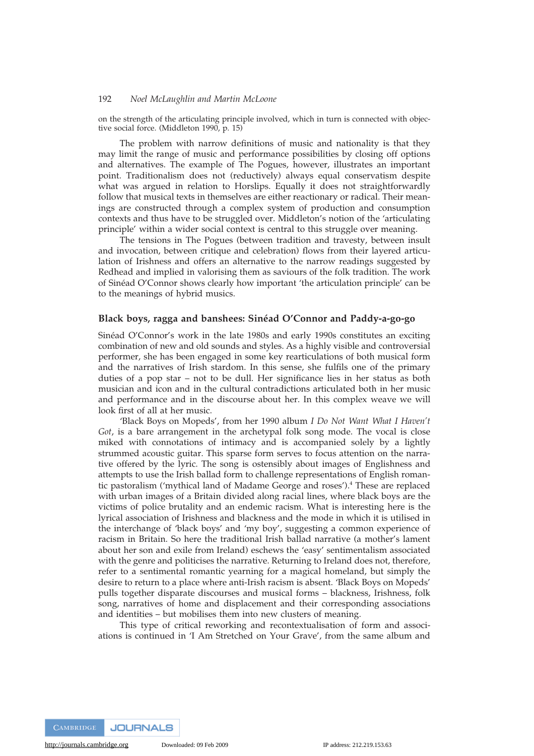on the strength of the articulating principle involved, which in turn is connected with objective social force. (Middleton 1990, p. 15)

The problem with narrow definitions of music and nationality is that they may limit the range of music and performance possibilities by closing off options and alternatives. The example of The Pogues, however, illustrates an important point. Traditionalism does not (reductively) always equal conservatism despite what was argued in relation to Horslips. Equally it does not straightforwardly follow that musical texts in themselves are either reactionary or radical. Their meanings are constructed through a complex system of production and consumption contexts and thus have to be struggled over. Middleton's notion of the 'articulating principle' within a wider social context is central to this struggle over meaning.

The tensions in The Pogues (between tradition and travesty, between insult and invocation, between critique and celebration) flows from their layered articulation of Irishness and offers an alternative to the narrow readings suggested by Redhead and implied in valorising them as saviours of the folk tradition. The work of Sine´ad O'Connor shows clearly how important 'the articulation principle' can be to the meanings of hybrid musics.

## Black boys, ragga and banshees: Sinéad O'Connor and Paddy-a-go-go

Sinéad O'Connor's work in the late 1980s and early 1990s constitutes an exciting combination of new and old sounds and styles. As a highly visible and controversial performer, she has been engaged in some key rearticulations of both musical form and the narratives of Irish stardom. In this sense, she fulfils one of the primary duties of a pop star – not to be dull. Her significance lies in her status as both musician and icon and in the cultural contradictions articulated both in her music and performance and in the discourse about her. In this complex weave we will look first of all at her music.

'Black Boys on Mopeds', from her 1990 album *I Do Not Want What I Haven't Got*, is a bare arrangement in the archetypal folk song mode. The vocal is close miked with connotations of intimacy and is accompanied solely by a lightly strummed acoustic guitar. This sparse form serves to focus attention on the narrative offered by the lyric. The song is ostensibly about images of Englishness and attempts to use the Irish ballad form to challenge representations of English romantic pastoralism ('mythical land of Madame George and roses').4 These are replaced with urban images of a Britain divided along racial lines, where black boys are the victims of police brutality and an endemic racism. What is interesting here is the lyrical association of Irishness and blackness and the mode in which it is utilised in the interchange of 'black boys' and 'my boy', suggesting a common experience of racism in Britain. So here the traditional Irish ballad narrative (a mother's lament about her son and exile from Ireland) eschews the 'easy' sentimentalism associated with the genre and politicises the narrative. Returning to Ireland does not, therefore, refer to a sentimental romantic yearning for a magical homeland, but simply the desire to return to a place where anti-Irish racism is absent. 'Black Boys on Mopeds' pulls together disparate discourses and musical forms – blackness, Irishness, folk song, narratives of home and displacement and their corresponding associations and identities – but mobilises them into new clusters of meaning.

This type of critical reworking and recontextualisation of form and associations is continued in 'I Am Stretched on Your Grave', from the same album and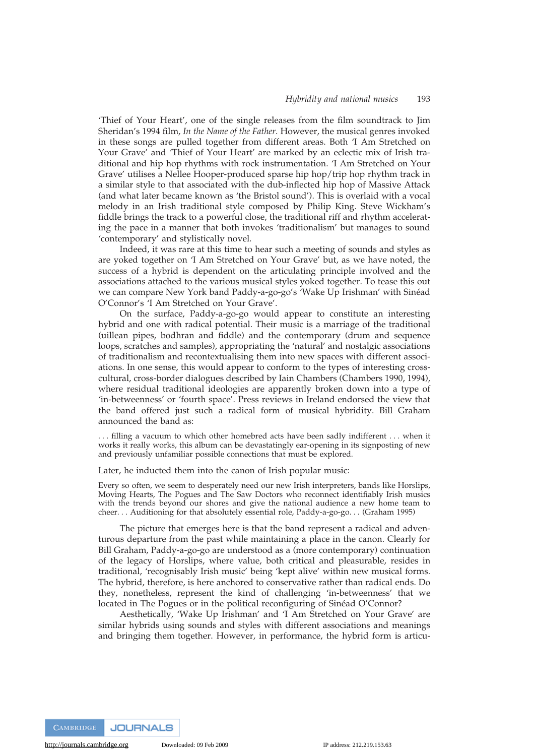'Thief of Your Heart', one of the single releases from the film soundtrack to Jim Sheridan's 1994 film, *In the Name of the Father*. However, the musical genres invoked in these songs are pulled together from different areas. Both 'I Am Stretched on Your Grave' and 'Thief of Your Heart' are marked by an eclectic mix of Irish traditional and hip hop rhythms with rock instrumentation. 'I Am Stretched on Your Grave' utilises a Nellee Hooper-produced sparse hip hop/trip hop rhythm track in a similar style to that associated with the dub-inflected hip hop of Massive Attack (and what later became known as 'the Bristol sound'). This is overlaid with a vocal melody in an Irish traditional style composed by Philip King. Steve Wickham's fiddle brings the track to a powerful close, the traditional riff and rhythm accelerating the pace in a manner that both invokes 'traditionalism' but manages to sound 'contemporary' and stylistically novel.

Indeed, it was rare at this time to hear such a meeting of sounds and styles as are yoked together on 'I Am Stretched on Your Grave' but, as we have noted, the success of a hybrid is dependent on the articulating principle involved and the associations attached to the various musical styles yoked together. To tease this out we can compare New York band Paddy-a-go-go's 'Wake Up Irishman' with Sinéad O'Connor's 'I Am Stretched on Your Grave'.

On the surface, Paddy-a-go-go would appear to constitute an interesting hybrid and one with radical potential. Their music is a marriage of the traditional (uillean pipes, bodhran and fiddle) and the contemporary (drum and sequence loops, scratches and samples), appropriating the 'natural' and nostalgic associations of traditionalism and recontextualising them into new spaces with different associations. In one sense, this would appear to conform to the types of interesting crosscultural, cross-border dialogues described by Iain Chambers (Chambers 1990, 1994), where residual traditional ideologies are apparently broken down into a type of 'in-betweenness' or 'fourth space'. Press reviews in Ireland endorsed the view that the band offered just such a radical form of musical hybridity. Bill Graham announced the band as:

. . . filling a vacuum to which other homebred acts have been sadly indifferent . . . when it works it really works, this album can be devastatingly ear-opening in its signposting of new and previously unfamiliar possible connections that must be explored.

Later, he inducted them into the canon of Irish popular music:

Every so often, we seem to desperately need our new Irish interpreters, bands like Horslips, Moving Hearts, The Pogues and The Saw Doctors who reconnect identifiably Irish musics with the trends beyond our shores and give the national audience a new home team to cheer. . . Auditioning for that absolutely essential role, Paddy-a-go-go. . . (Graham 1995)

The picture that emerges here is that the band represent a radical and adventurous departure from the past while maintaining a place in the canon. Clearly for Bill Graham, Paddy-a-go-go are understood as a (more contemporary) continuation of the legacy of Horslips, where value, both critical and pleasurable, resides in traditional, 'recognisably Irish music' being 'kept alive' within new musical forms. The hybrid, therefore, is here anchored to conservative rather than radical ends. Do they, nonetheless, represent the kind of challenging 'in-betweenness' that we located in The Pogues or in the political reconfiguring of Sinéad O'Connor?

Aesthetically, 'Wake Up Irishman' and 'I Am Stretched on Your Grave' are similar hybrids using sounds and styles with different associations and meanings and bringing them together. However, in performance, the hybrid form is articu-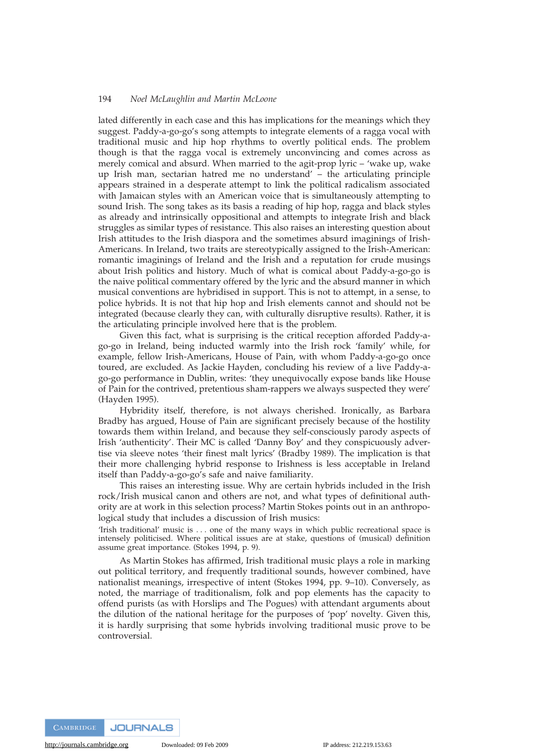lated differently in each case and this has implications for the meanings which they suggest. Paddy-a-go-go's song attempts to integrate elements of a ragga vocal with traditional music and hip hop rhythms to overtly political ends. The problem though is that the ragga vocal is extremely unconvincing and comes across as merely comical and absurd. When married to the agit-prop lyric – 'wake up, wake up Irish man, sectarian hatred me no understand' – the articulating principle appears strained in a desperate attempt to link the political radicalism associated with Jamaican styles with an American voice that is simultaneously attempting to sound Irish. The song takes as its basis a reading of hip hop, ragga and black styles as already and intrinsically oppositional and attempts to integrate Irish and black struggles as similar types of resistance. This also raises an interesting question about Irish attitudes to the Irish diaspora and the sometimes absurd imaginings of Irish-Americans. In Ireland, two traits are stereotypically assigned to the Irish-American: romantic imaginings of Ireland and the Irish and a reputation for crude musings about Irish politics and history. Much of what is comical about Paddy-a-go-go is the naive political commentary offered by the lyric and the absurd manner in which musical conventions are hybridised in support. This is not to attempt, in a sense, to police hybrids. It is not that hip hop and Irish elements cannot and should not be integrated (because clearly they can, with culturally disruptive results). Rather, it is the articulating principle involved here that is the problem.

Given this fact, what is surprising is the critical reception afforded Paddy-ago-go in Ireland, being inducted warmly into the Irish rock 'family' while, for example, fellow Irish-Americans, House of Pain, with whom Paddy-a-go-go once toured, are excluded. As Jackie Hayden, concluding his review of a live Paddy-ago-go performance in Dublin, writes: 'they unequivocally expose bands like House of Pain for the contrived, pretentious sham-rappers we always suspected they were' (Hayden 1995).

Hybridity itself, therefore, is not always cherished. Ironically, as Barbara Bradby has argued, House of Pain are significant precisely because of the hostility towards them within Ireland, and because they self-consciously parody aspects of Irish 'authenticity'. Their MC is called 'Danny Boy' and they conspicuously advertise via sleeve notes 'their finest malt lyrics' (Bradby 1989). The implication is that their more challenging hybrid response to Irishness is less acceptable in Ireland itself than Paddy-a-go-go's safe and naive familiarity.

This raises an interesting issue. Why are certain hybrids included in the Irish rock/Irish musical canon and others are not, and what types of definitional authority are at work in this selection process? Martin Stokes points out in an anthropological study that includes a discussion of Irish musics:

'Irish traditional' music is . . . one of the many ways in which public recreational space is intensely politicised. Where political issues are at stake, questions of (musical) definition assume great importance. (Stokes 1994, p. 9).

As Martin Stokes has affirmed, Irish traditional music plays a role in marking out political territory, and frequently traditional sounds, however combined, have nationalist meanings, irrespective of intent (Stokes 1994, pp. 9–10). Conversely, as noted, the marriage of traditionalism, folk and pop elements has the capacity to offend purists (as with Horslips and The Pogues) with attendant arguments about the dilution of the national heritage for the purposes of 'pop' novelty. Given this, it is hardly surprising that some hybrids involving traditional music prove to be controversial.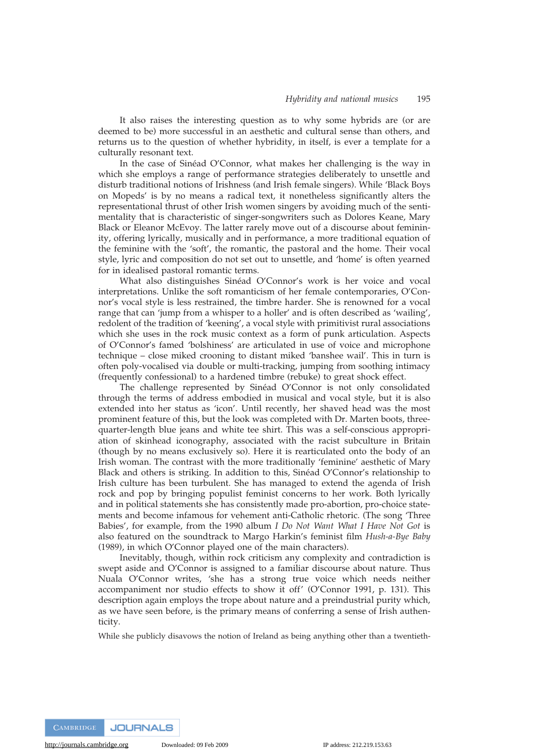It also raises the interesting question as to why some hybrids are (or are deemed to be) more successful in an aesthetic and cultural sense than others, and returns us to the question of whether hybridity, in itself, is ever a template for a culturally resonant text.

In the case of Sinéad O'Connor, what makes her challenging is the way in which she employs a range of performance strategies deliberately to unsettle and disturb traditional notions of Irishness (and Irish female singers). While 'Black Boys on Mopeds' is by no means a radical text, it nonetheless significantly alters the representational thrust of other Irish women singers by avoiding much of the sentimentality that is characteristic of singer-songwriters such as Dolores Keane, Mary Black or Eleanor McEvoy. The latter rarely move out of a discourse about femininity, offering lyrically, musically and in performance, a more traditional equation of the feminine with the 'soft', the romantic, the pastoral and the home. Their vocal style, lyric and composition do not set out to unsettle, and 'home' is often yearned for in idealised pastoral romantic terms.

What also distinguishes Sinéad O'Connor's work is her voice and vocal interpretations. Unlike the soft romanticism of her female contemporaries, O'Connor's vocal style is less restrained, the timbre harder. She is renowned for a vocal range that can 'jump from a whisper to a holler' and is often described as 'wailing', redolent of the tradition of 'keening', a vocal style with primitivist rural associations which she uses in the rock music context as a form of punk articulation. Aspects of O'Connor's famed 'bolshiness' are articulated in use of voice and microphone technique – close miked crooning to distant miked 'banshee wail'. This in turn is often poly-vocalised via double or multi-tracking, jumping from soothing intimacy (frequently confessional) to a hardened timbre (rebuke) to great shock effect.

The challenge represented by Sinéad O'Connor is not only consolidated through the terms of address embodied in musical and vocal style, but it is also extended into her status as 'icon'. Until recently, her shaved head was the most prominent feature of this, but the look was completed with Dr. Marten boots, threequarter-length blue jeans and white tee shirt. This was a self-conscious appropriation of skinhead iconography, associated with the racist subculture in Britain (though by no means exclusively so). Here it is rearticulated onto the body of an Irish woman. The contrast with the more traditionally 'feminine' aesthetic of Mary Black and others is striking. In addition to this, Sinéad O'Connor's relationship to Irish culture has been turbulent. She has managed to extend the agenda of Irish rock and pop by bringing populist feminist concerns to her work. Both lyrically and in political statements she has consistently made pro-abortion, pro-choice statements and become infamous for vehement anti-Catholic rhetoric. (The song 'Three Babies', for example, from the 1990 album *I Do Not Want What I Have Not Got* is also featured on the soundtrack to Margo Harkin's feminist film *Hush-a-Bye Baby* (1989), in which O'Connor played one of the main characters).

Inevitably, though, within rock criticism any complexity and contradiction is swept aside and O'Connor is assigned to a familiar discourse about nature. Thus Nuala O'Connor writes, 'she has a strong true voice which needs neither accompaniment nor studio effects to show it off' (O'Connor 1991, p. 131). This description again employs the trope about nature and a preindustrial purity which, as we have seen before, is the primary means of conferring a sense of Irish authenticity.

While she publicly disavows the notion of Ireland as being anything other than a twentieth-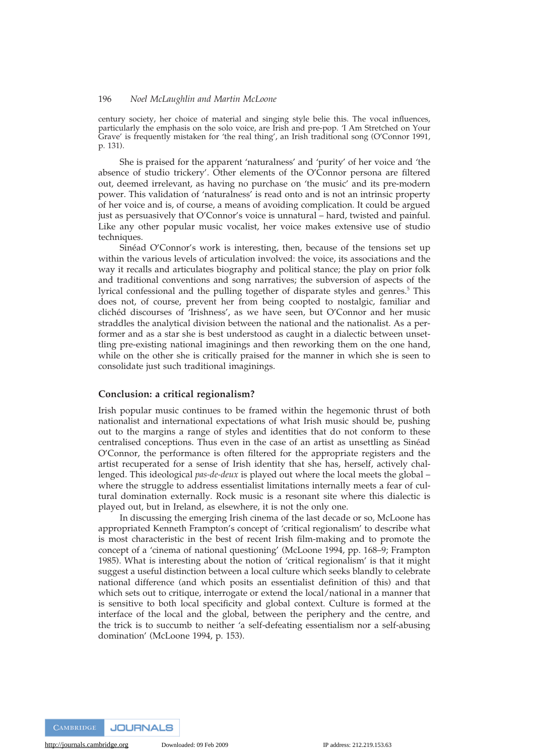century society, her choice of material and singing style belie this. The vocal influences, particularly the emphasis on the solo voice, are Irish and pre-pop. 'I Am Stretched on Your Grave' is frequently mistaken for 'the real thing', an Irish traditional song (O'Connor 1991, p. 131).

She is praised for the apparent 'naturalness' and 'purity' of her voice and 'the absence of studio trickery'. Other elements of the O'Connor persona are filtered out, deemed irrelevant, as having no purchase on 'the music' and its pre-modern power. This validation of 'naturalness' is read onto and is not an intrinsic property of her voice and is, of course, a means of avoiding complication. It could be argued just as persuasively that O'Connor's voice is unnatural – hard, twisted and painful. Like any other popular music vocalist, her voice makes extensive use of studio techniques.

Sinet ad O'Connor's work is interesting, then, because of the tensions set up within the various levels of articulation involved: the voice, its associations and the way it recalls and articulates biography and political stance; the play on prior folk and traditional conventions and song narratives; the subversion of aspects of the lyrical confessional and the pulling together of disparate styles and genres.<sup>5</sup> This does not, of course, prevent her from being coopted to nostalgic, familiar and clichéd discourses of 'Irishness', as we have seen, but O'Connor and her music straddles the analytical division between the national and the nationalist. As a performer and as a star she is best understood as caught in a dialectic between unsettling pre-existing national imaginings and then reworking them on the one hand, while on the other she is critically praised for the manner in which she is seen to consolidate just such traditional imaginings.

## **Conclusion: a critical regionalism?**

Irish popular music continues to be framed within the hegemonic thrust of both nationalist and international expectations of what Irish music should be, pushing out to the margins a range of styles and identities that do not conform to these centralised conceptions. Thus even in the case of an artist as unsettling as Sinéad O'Connor, the performance is often filtered for the appropriate registers and the artist recuperated for a sense of Irish identity that she has, herself, actively challenged. This ideological *pas-de-deux* is played out where the local meets the global – where the struggle to address essentialist limitations internally meets a fear of cultural domination externally. Rock music is a resonant site where this dialectic is played out, but in Ireland, as elsewhere, it is not the only one.

In discussing the emerging Irish cinema of the last decade or so, McLoone has appropriated Kenneth Frampton's concept of 'critical regionalism' to describe what is most characteristic in the best of recent Irish film-making and to promote the concept of a 'cinema of national questioning' (McLoone 1994, pp. 168–9; Frampton 1985). What is interesting about the notion of 'critical regionalism' is that it might suggest a useful distinction between a local culture which seeks blandly to celebrate national difference (and which posits an essentialist definition of this) and that which sets out to critique, interrogate or extend the local/national in a manner that is sensitive to both local specificity and global context. Culture is formed at the interface of the local and the global, between the periphery and the centre, and the trick is to succumb to neither 'a self-defeating essentialism nor a self-abusing domination' (McLoone 1994, p. 153).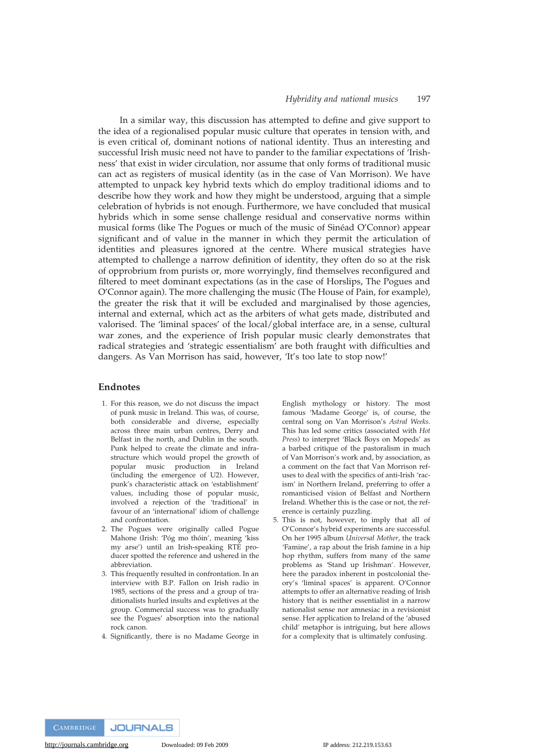#### *Hybridity and national musics* 197

In a similar way, this discussion has attempted to define and give support to the idea of a regionalised popular music culture that operates in tension with, and is even critical of, dominant notions of national identity. Thus an interesting and successful Irish music need not have to pander to the familiar expectations of 'Irishness' that exist in wider circulation, nor assume that only forms of traditional music can act as registers of musical identity (as in the case of Van Morrison). We have attempted to unpack key hybrid texts which do employ traditional idioms and to describe how they work and how they might be understood, arguing that a simple celebration of hybrids is not enough. Furthermore, we have concluded that musical hybrids which in some sense challenge residual and conservative norms within musical forms (like The Pogues or much of the music of Sinéad O'Connor) appear significant and of value in the manner in which they permit the articulation of identities and pleasures ignored at the centre. Where musical strategies have attempted to challenge a narrow definition of identity, they often do so at the risk of opprobrium from purists or, more worryingly, find themselves reconfigured and filtered to meet dominant expectations (as in the case of Horslips, The Pogues and O'Connor again). The more challenging the music (The House of Pain, for example), the greater the risk that it will be excluded and marginalised by those agencies, internal and external, which act as the arbiters of what gets made, distributed and valorised. The 'liminal spaces' of the local/global interface are, in a sense, cultural war zones, and the experience of Irish popular music clearly demonstrates that radical strategies and 'strategic essentialism' are both fraught with difficulties and dangers. As Van Morrison has said, however, 'It's too late to stop now!'

## **Endnotes**

- favour of an 'international' idiom of challenge erence is certainly puzzling.
- 
- 
- 

1. For this reason, we do not discuss the impact English mythology or history. The most of punk music in Ireland. This was, of course, famous 'Madame George' is, of course, the both considerable and diverse, especially central song on Van Morrison's *Astral Weeks*. across three main urban centres, Derry and This has led some critics (associated with *Hot* Belfast in the north, and Dublin in the south. *Press*) to interpret 'Black Boys on Mopeds' as Punk helped to create the climate and infra- a barbed critique of the pastoralism in much structure which would propel the growth of of Van Morrison's work and, by association, as<br>popular music production in Ireland a comment on the fact that Van Morrison refa comment on the fact that Van Morrison ref-(including the emergence of U2). However, uses to deal with the specifics of anti-Irish 'rac-<br>punk's characteristic attack on 'establishment' ism' in Northern Ireland, preferring to offer a ism' in Northern Ireland, preferring to offer a values, including those of popular music, romanticised vision of Belfast and Northern involved a rejection of the 'traditional' in Ireland. Whether this is the case or not, the ref-

and confrontation.  $\qquad \qquad$  5. This is not, however, to imply that all of 2. The Pogues were originally called Pogue O'Connor's hybrid experiments are successful. Mahone (Irish: 'Póg mo thóin', meaning 'kiss On her 1995 album *Universal Mother*, the track my arse') until an Irish-speaking RTE´ pro- 'Famine', a rap about the Irish famine in a hip ducer spotted the reference and ushered in the hop rhythm, suffers from many of the same abbreviation. problems as 'Stand up Irishman'. However, 3. This frequently resulted in confrontation. In an here the paradox inherent in postcolonial theinterview with B.P. Fallon on Irish radio in ory's 'liminal spaces' is apparent. O'Connor 1985, sections of the press and a group of tra- attempts to offer an alternative reading of Irish ditionalists hurled insults and expletives at the history that is neither essentialist in a narrow group. Commercial success was to gradually nationalist sense nor amnesiac in a revisionist see the Pogues' absorption into the national sense. Her application to Ireland of the 'abused rock canon. child' metaphor is intriguing, but here allows 4. Significantly, there is no Madame George in for a complexity that is ultimately confusing.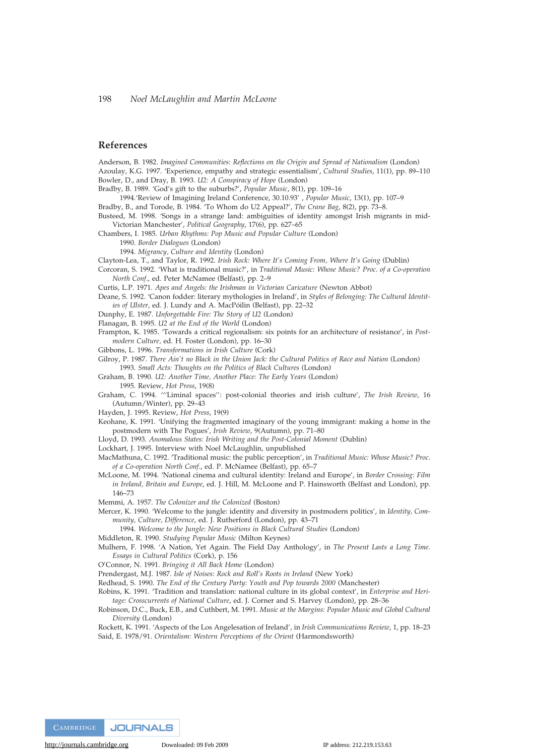## **References**

Anderson, B. 1982. *Imagined Communities: Reflections on the Origin and Spread of Nationalism* (London) Azoulay, K.G. 1997. 'Experience, empathy and strategic essentialism', *Cultural Studies*, 11(1), pp. 89–110 Bowler, D., and Dray, B. 1993. *U2: A Conspiracy of Hope* (London) Bradby, B. 1989. 'God's gift to the suburbs?', *Popular Music*, 8(1), pp. 109–16

1994.'Review of Imagining Ireland Conference, 30.10.93' , *Popular Music*, 13(1), pp. 107–9

Bradby, B., and Torode, B. 1984. 'To Whom do U2 Appeal?', *The Crane Bag*, 8(2), pp. 73–8.

Busteed, M. 1998. 'Songs in a strange land: ambiguities of identity amongst Irish migrants in mid-Victorian Manchester', *Political Geography*, 17(6), pp. 627–65

Chambers, I. 1985. *Urban Rhythms: Pop Music and Popular Culture* (London)

1990. *Border Dialogues* (London)

1994. *Migrancy, Culture and Identity* (London)

Clayton-Lea, T., and Taylor, R. 1992. *Irish Rock: Where It's Coming From, Where It's Going* (Dublin)

- Corcoran, S. 1992. 'What is traditional music?', in *Traditional Music: Whose Music? Proc. of a Co-operation North Conf.*, ed. Peter McNamee (Belfast), pp. 2–9
- Curtis, L.P. 1971. *Apes and Angels: the Irishman in Victorian Caricature* (Newton Abbot)
- Deane, S. 1992. 'Canon fodder: literary mythologies in Ireland', in *Styles of Belonging: The Cultural Identities of Ulster*, ed. J. Lundy and A. MacPóilin (Belfast), pp. 22-32

Dunphy, E. 1987. *Unforgettable Fire: The Story of U2* (London)

Flanagan, B. 1995. *U2 at the End of the World* (London)

Frampton, K. 1985. 'Towards a critical regionalism: six points for an architecture of resistance', in *Postmodern Culture,* ed. H. Foster (London), pp. 16–30

Gibbons, L. 1996. *Transformations in Irish Culture* (Cork)

Gilroy, P. 1987. *There Ain't no Black in the Union Jack: the Cultural Politics of Race and Nation* (London) 1993. *Small Acts: Thoughts on the Politics of Black Cultures* (London)

Graham, B. 1990. *U2: Another Time, Another Place: The Early Years* (London)

1995. Review, *Hot Press*, 19(8)

- Graham, C. 1994. '''Liminal spaces'': post-colonial theories and irish culture', *The Irish Review*, 16 (Autumn/Winter), pp. 29–43
- Hayden, J. 1995. Review, *Hot Press*, 19(9)
- Keohane, K. 1991. 'Unifying the fragmented imaginary of the young immigrant: making a home in the postmodern with The Pogues', *Irish Review*, 9(Autumn), pp. 71–80

Lloyd, D. 1993. *Anomalous States: Irish Writing and the Post-Colonial Moment* (Dublin)

Lockhart, J. 1995. Interview with Noel McLaughlin, unpublished

MacMathuna, C. 1992. 'Traditional music: the public perception', in *Traditional Music: Whose Music? Proc. of a Co-operation North Conf.*, ed. P. McNamee (Belfast), pp. 65–7

McLoone, M. 1994. 'National cinema and cultural identity: Ireland and Europe', in *Border Crossing: Film in Ireland, Britain and Europe*, ed. J. Hill, M. McLoone and P. Hainsworth (Belfast and London), pp. 146–73

Memmi, A. 1957. *The Colonizer and the Colonized* (Boston)

Mercer, K. 1990. 'Welcome to the jungle: identity and diversity in postmodern politics', in *Identity, Community, Culture, Difference*, ed. J. Rutherford (London), pp. 43–71

1994. *Welcome to the Jungle: New Positions in Black Cultural Studies* (London)

Middleton, R. 1990. *Studying Popular Music* (Milton Keynes)

Mulhern, F. 1998. 'A Nation, Yet Again. The Field Day Anthology', in *The Present Lasts a Long Time. Essays in Cultural Politics* (Cork), p. 156

O'Connor, N. 1991. *Bringing it All Back Home* (London)

Prendergast, M.J. 1987. *Isle of Noises: Rock and Roll's Roots in Ireland* (New York)

Redhead, S. 1990. *The End of the Century Party: Youth and Pop towards 2000* (Manchester)

Robins, K. 1991. 'Tradition and translation: national culture in its global context', in *Enterprise and Heritage: Crosscurrents of National Culture*, ed. J. Corner and S. Harvey (London), pp. 28–36

Robinson, D.C., Buck, E.B., and Cuthbert, M. 1991. *Music at the Margins: Popular Music and Global Cultural Diversity* (London)

Rockett, K. 1991. 'Aspects of the Los Angelesation of Ireland', in *Irish Communications Review*, 1, pp. 18–23 Said, E. 1978/91. *Orientalism: Western Perceptions of the Orient* (Harmondsworth)